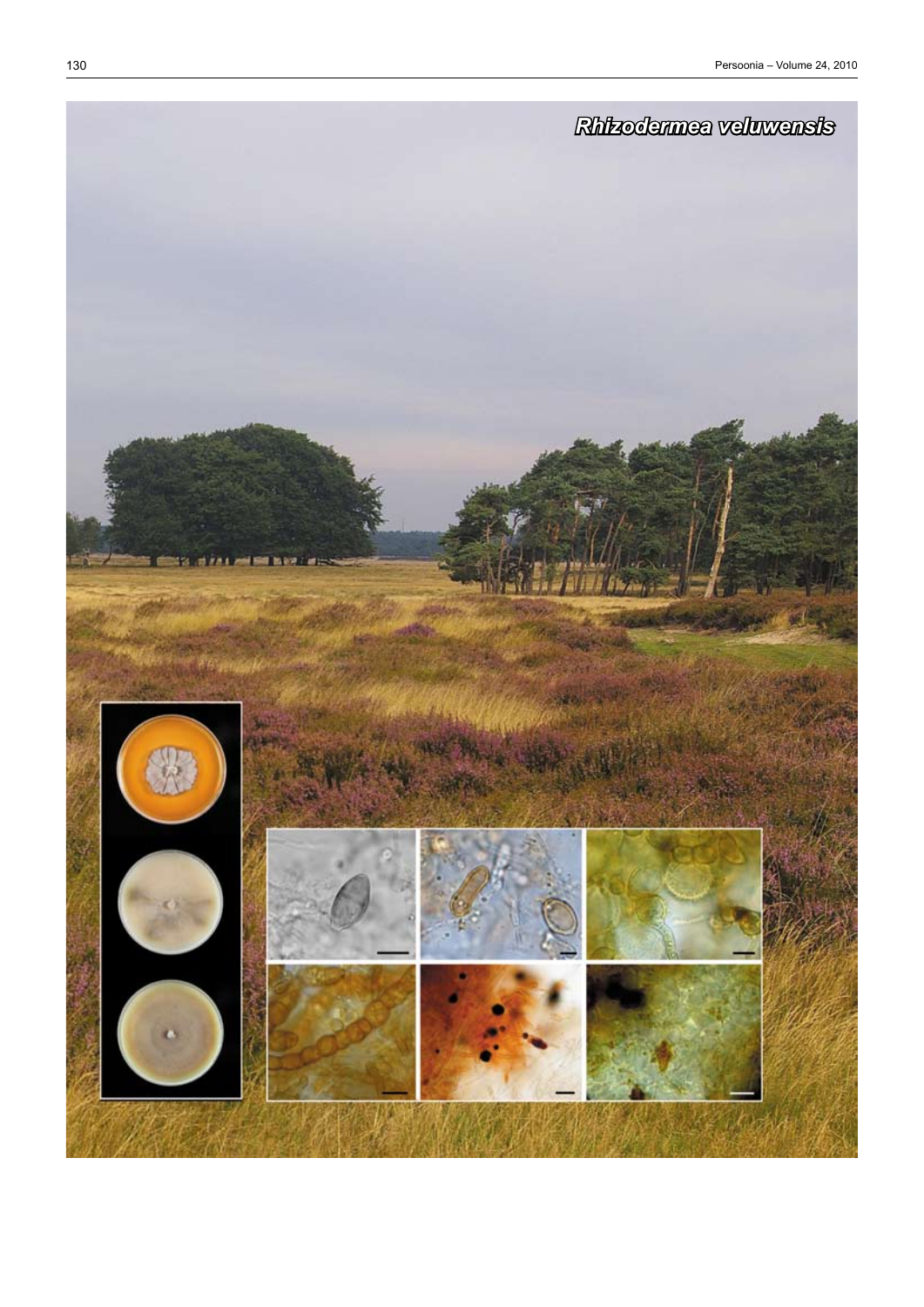